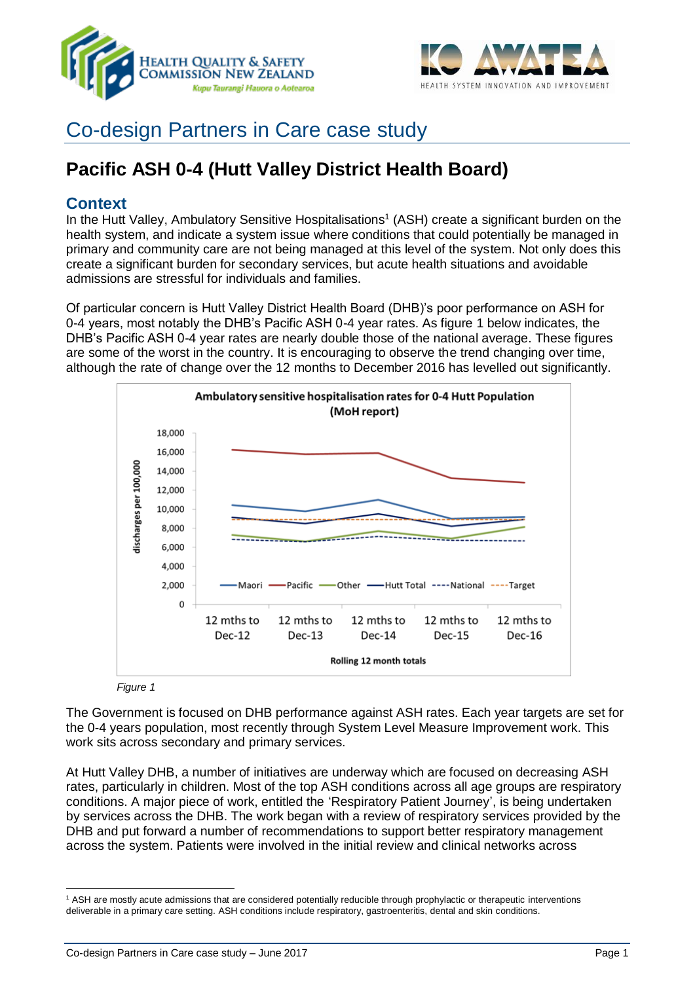



# Co-design Partners in Care case study

# **Pacific ASH 0-4 (Hutt Valley District Health Board)**

### **Context**

In the Hutt Valley, Ambulatory Sensitive Hospitalisations<sup>1</sup> (ASH) create a significant burden on the health system, and indicate a system issue where conditions that could potentially be managed in primary and community care are not being managed at this level of the system. Not only does this create a significant burden for secondary services, but acute health situations and avoidable admissions are stressful for individuals and families.

Of particular concern is Hutt Valley District Health Board (DHB)'s poor performance on ASH for 0-4 years, most notably the DHB's Pacific ASH 0-4 year rates. As figure 1 below indicates, the DHB's Pacific ASH 0-4 year rates are nearly double those of the national average. These figures are some of the worst in the country. It is encouraging to observe the trend changing over time, although the rate of change over the 12 months to December 2016 has levelled out significantly.



*Figure 1*

The Government is focused on DHB performance against ASH rates. Each year targets are set for the 0-4 years population, most recently through System Level Measure Improvement work. This work sits across secondary and primary services.

At Hutt Valley DHB, a number of initiatives are underway which are focused on decreasing ASH rates, particularly in children. Most of the top ASH conditions across all age groups are respiratory conditions. A major piece of work, entitled the 'Respiratory Patient Journey', is being undertaken by services across the DHB. The work began with a review of respiratory services provided by the DHB and put forward a number of recommendations to support better respiratory management across the system. Patients were involved in the initial review and clinical networks across

 $\overline{a}$ <sup>1</sup> ASH are mostly acute admissions that are considered potentially reducible through prophylactic or therapeutic interventions deliverable in a primary care setting. ASH conditions include respiratory, gastroenteritis, dental and skin conditions.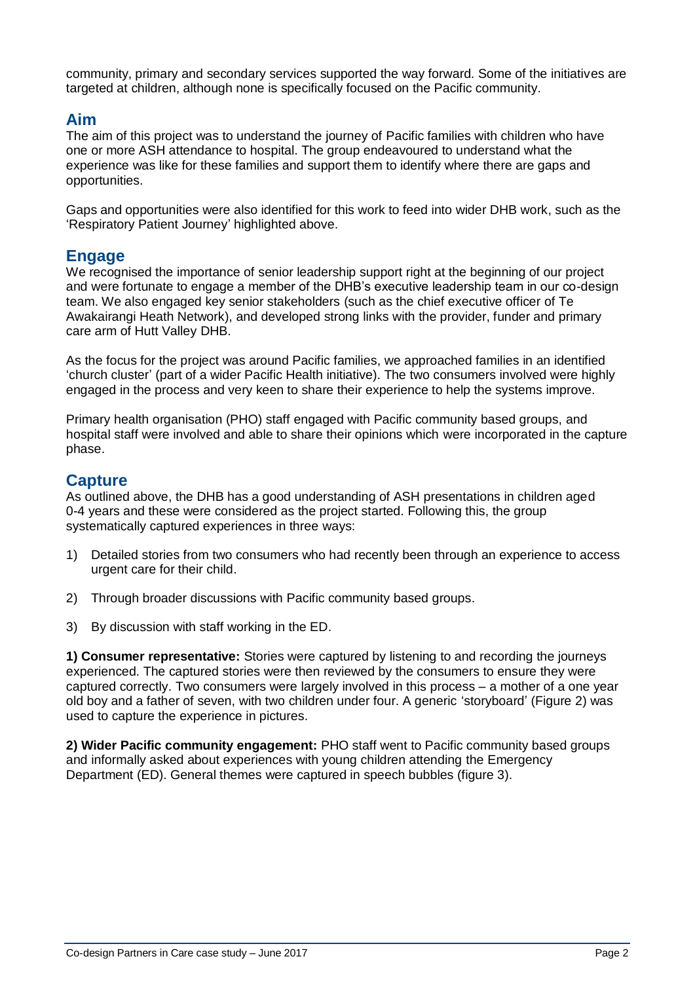community, primary and secondary services supported the way forward. Some of the initiatives are targeted at children, although none is specifically focused on the Pacific community.

### **Aim**

The aim of this project was to understand the journey of Pacific families with children who have one or more ASH attendance to hospital. The group endeavoured to understand what the experience was like for these families and support them to identify where there are gaps and opportunities.

Gaps and opportunities were also identified for this work to feed into wider DHB work, such as the 'Respiratory Patient Journey' highlighted above.

### **Engage**

We recognised the importance of senior leadership support right at the beginning of our project and were fortunate to engage a member of the DHB's executive leadership team in our co-design team. We also engaged key senior stakeholders (such as the chief executive officer of Te Awakairangi Heath Network), and developed strong links with the provider, funder and primary care arm of Hutt Valley DHB.

As the focus for the project was around Pacific families, we approached families in an identified 'church cluster' (part of a wider Pacific Health initiative). The two consumers involved were highly engaged in the process and very keen to share their experience to help the systems improve.

Primary health organisation (PHO) staff engaged with Pacific community based groups, and hospital staff were involved and able to share their opinions which were incorporated in the capture phase.

### **Capture**

As outlined above, the DHB has a good understanding of ASH presentations in children aged 0-4 years and these were considered as the project started. Following this, the group systematically captured experiences in three ways:

- 1) Detailed stories from two consumers who had recently been through an experience to access urgent care for their child.
- 2) Through broader discussions with Pacific community based groups.
- 3) By discussion with staff working in the ED.

**1) Consumer representative:** Stories were captured by listening to and recording the journeys experienced. The captured stories were then reviewed by the consumers to ensure they were captured correctly. Two consumers were largely involved in this process – a mother of a one year old boy and a father of seven, with two children under four. A generic 'storyboard' (Figure 2) was used to capture the experience in pictures.

**2) Wider Pacific community engagement:** PHO staff went to Pacific community based groups and informally asked about experiences with young children attending the Emergency Department (ED). General themes were captured in speech bubbles (figure 3).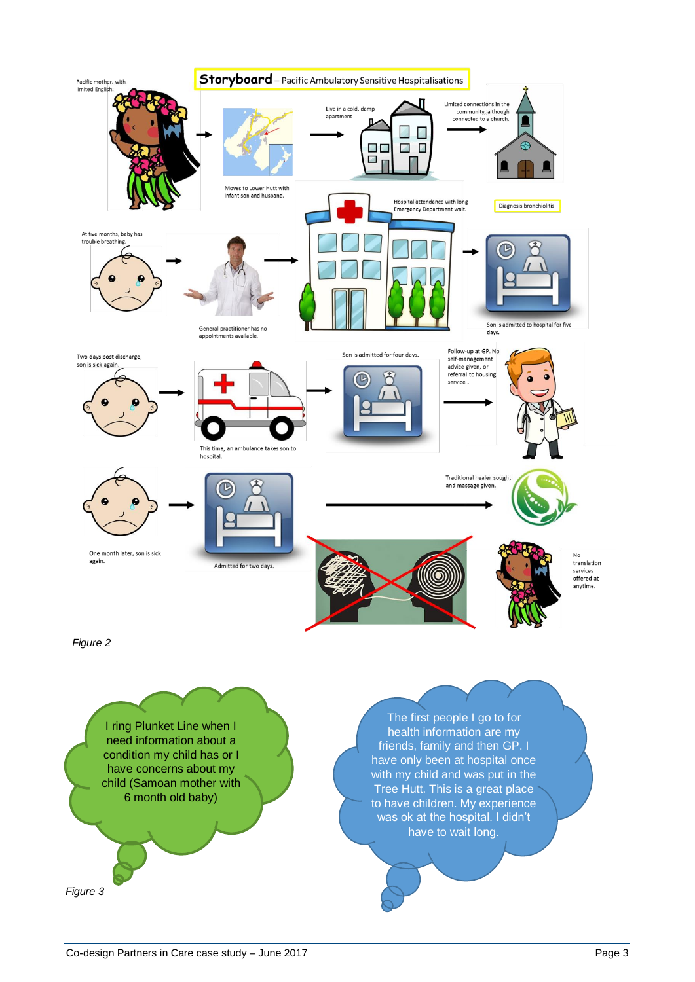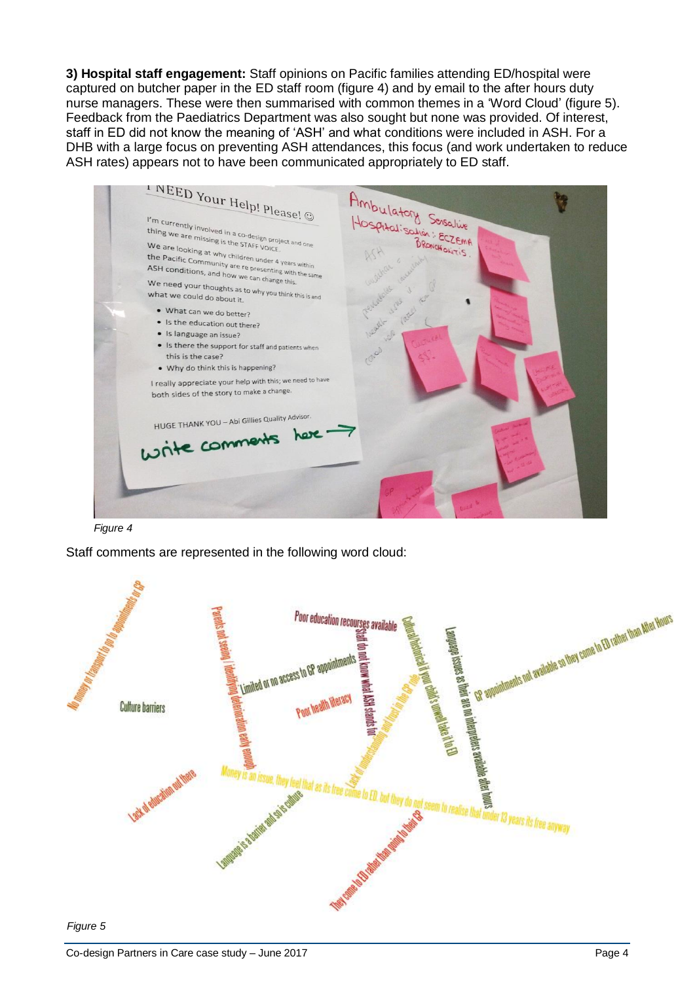**3) Hospital staff engagement:** Staff opinions on Pacific families attending ED/hospital were captured on butcher paper in the ED staff room (figure 4) and by email to the after hours duty nurse managers. These were then summarised with common themes in a 'Word Cloud' (figure 5). Feedback from the Paediatrics Department was also sought but none was provided. Of interest, staff in ED did not know the meaning of 'ASH' and what conditions were included in ASH. For a DHB with a large focus on preventing ASH attendances, this focus (and work undertaken to reduce ASH rates) appears not to have been communicated appropriately to ED staff.



*Figure 4*

Staff comments are represented in the following word cloud:



*Figure 5*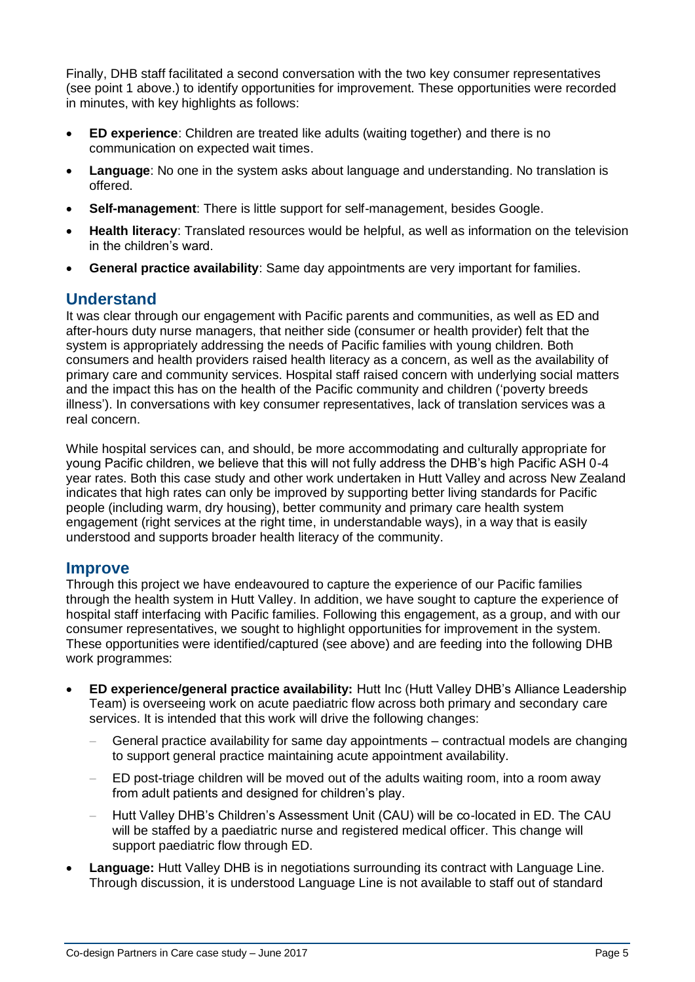Finally, DHB staff facilitated a second conversation with the two key consumer representatives (see point 1 above.) to identify opportunities for improvement. These opportunities were recorded in minutes, with key highlights as follows:

- **ED experience**: Children are treated like adults (waiting together) and there is no communication on expected wait times.
- **Language**: No one in the system asks about language and understanding. No translation is offered.
- **Self-management**: There is little support for self-management, besides Google.
- **Health literacy**: Translated resources would be helpful, as well as information on the television in the children's ward.
- **General practice availability**: Same day appointments are very important for families.

## **Understand**

It was clear through our engagement with Pacific parents and communities, as well as ED and after-hours duty nurse managers, that neither side (consumer or health provider) felt that the system is appropriately addressing the needs of Pacific families with young children. Both consumers and health providers raised health literacy as a concern, as well as the availability of primary care and community services. Hospital staff raised concern with underlying social matters and the impact this has on the health of the Pacific community and children ('poverty breeds illness'). In conversations with key consumer representatives, lack of translation services was a real concern.

While hospital services can, and should, be more accommodating and culturally appropriate for young Pacific children, we believe that this will not fully address the DHB's high Pacific ASH 0-4 year rates. Both this case study and other work undertaken in Hutt Valley and across New Zealand indicates that high rates can only be improved by supporting better living standards for Pacific people (including warm, dry housing), better community and primary care health system engagement (right services at the right time, in understandable ways), in a way that is easily understood and supports broader health literacy of the community.

#### **Improve**

Through this project we have endeavoured to capture the experience of our Pacific families through the health system in Hutt Valley. In addition, we have sought to capture the experience of hospital staff interfacing with Pacific families. Following this engagement, as a group, and with our consumer representatives, we sought to highlight opportunities for improvement in the system. These opportunities were identified/captured (see above) and are feeding into the following DHB work programmes:

- **ED experience/general practice availability:** Hutt Inc (Hutt Valley DHB's Alliance Leadership Team) is overseeing work on acute paediatric flow across both primary and secondary care services. It is intended that this work will drive the following changes:
	- General practice availability for same day appointments contractual models are changing to support general practice maintaining acute appointment availability.
	- ED post-triage children will be moved out of the adults waiting room, into a room away from adult patients and designed for children's play.
	- Hutt Valley DHB's Children's Assessment Unit (CAU) will be co-located in ED. The CAU will be staffed by a paediatric nurse and registered medical officer. This change will support paediatric flow through ED.
- **Language:** Hutt Valley DHB is in negotiations surrounding its contract with Language Line. Through discussion, it is understood Language Line is not available to staff out of standard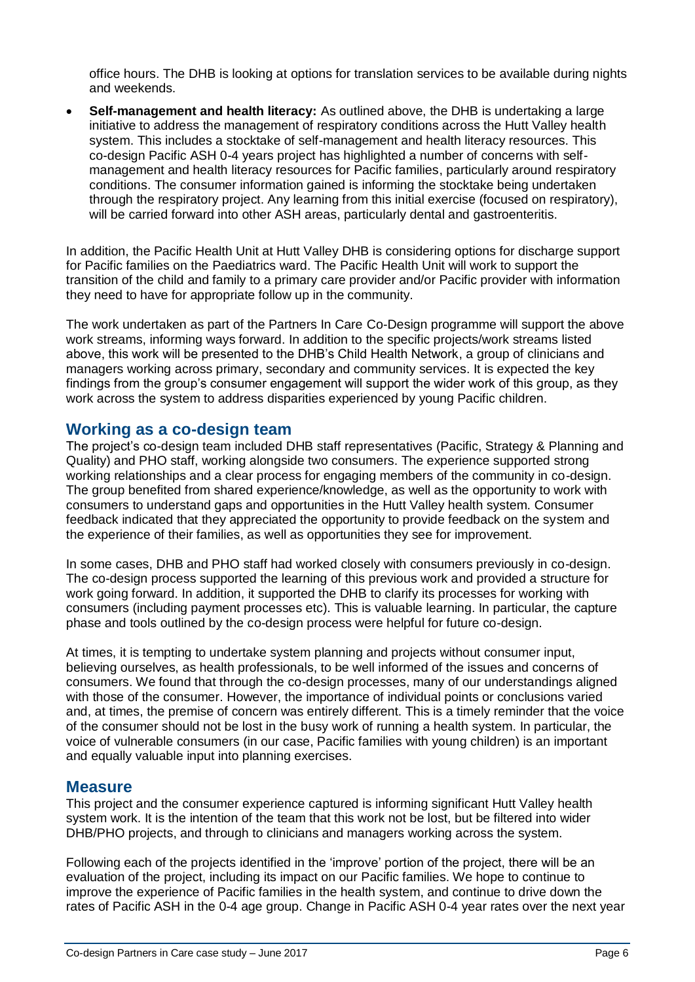office hours. The DHB is looking at options for translation services to be available during nights and weekends.

• **Self-management and health literacy:** As outlined above, the DHB is undertaking a large initiative to address the management of respiratory conditions across the Hutt Valley health system. This includes a stocktake of self-management and health literacy resources. This co-design Pacific ASH 0-4 years project has highlighted a number of concerns with selfmanagement and health literacy resources for Pacific families, particularly around respiratory conditions. The consumer information gained is informing the stocktake being undertaken through the respiratory project. Any learning from this initial exercise (focused on respiratory), will be carried forward into other ASH areas, particularly dental and gastroenteritis.

In addition, the Pacific Health Unit at Hutt Valley DHB is considering options for discharge support for Pacific families on the Paediatrics ward. The Pacific Health Unit will work to support the transition of the child and family to a primary care provider and/or Pacific provider with information they need to have for appropriate follow up in the community.

The work undertaken as part of the Partners In Care Co-Design programme will support the above work streams, informing ways forward. In addition to the specific projects/work streams listed above, this work will be presented to the DHB's Child Health Network, a group of clinicians and managers working across primary, secondary and community services. It is expected the key findings from the group's consumer engagement will support the wider work of this group, as they work across the system to address disparities experienced by young Pacific children.

#### **Working as a co-design team**

The project's co-design team included DHB staff representatives (Pacific, Strategy & Planning and Quality) and PHO staff, working alongside two consumers. The experience supported strong working relationships and a clear process for engaging members of the community in co-design. The group benefited from shared experience/knowledge, as well as the opportunity to work with consumers to understand gaps and opportunities in the Hutt Valley health system. Consumer feedback indicated that they appreciated the opportunity to provide feedback on the system and the experience of their families, as well as opportunities they see for improvement.

In some cases, DHB and PHO staff had worked closely with consumers previously in co-design. The co-design process supported the learning of this previous work and provided a structure for work going forward. In addition, it supported the DHB to clarify its processes for working with consumers (including payment processes etc). This is valuable learning. In particular, the capture phase and tools outlined by the co-design process were helpful for future co-design.

At times, it is tempting to undertake system planning and projects without consumer input, believing ourselves, as health professionals, to be well informed of the issues and concerns of consumers. We found that through the co-design processes, many of our understandings aligned with those of the consumer. However, the importance of individual points or conclusions varied and, at times, the premise of concern was entirely different. This is a timely reminder that the voice of the consumer should not be lost in the busy work of running a health system. In particular, the voice of vulnerable consumers (in our case, Pacific families with young children) is an important and equally valuable input into planning exercises.

#### **Measure**

This project and the consumer experience captured is informing significant Hutt Valley health system work. It is the intention of the team that this work not be lost, but be filtered into wider DHB/PHO projects, and through to clinicians and managers working across the system.

Following each of the projects identified in the 'improve' portion of the project, there will be an evaluation of the project, including its impact on our Pacific families. We hope to continue to improve the experience of Pacific families in the health system, and continue to drive down the rates of Pacific ASH in the 0-4 age group. Change in Pacific ASH 0-4 year rates over the next year